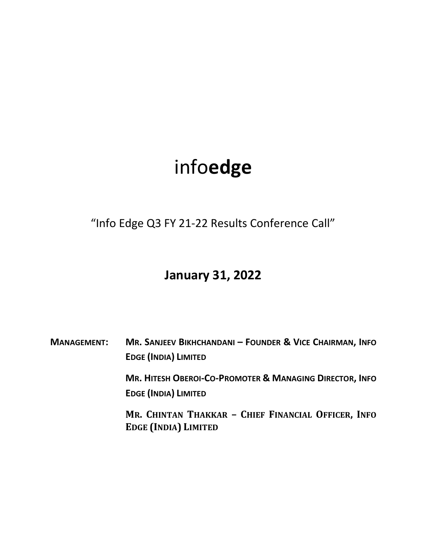## infoedge

"Info Edge Q3 FY 21-22 Results Conference Call"

## January 31, 2022

MANAGEMENT: MR. SANJEEV BIKHCHANDANI – FOUNDER & VICE CHAIRMAN, INFO EDGE (INDIA) LIMITED

> MR. HITESH OBEROI-CO-PROMOTER & MANAGING DIRECTOR, INFO EDGE (INDIA) LIMITED

> MR. CHINTAN THAKKAR – CHIEF FINANCIAL OFFICER, INFO EDGE (INDIA) LIMITED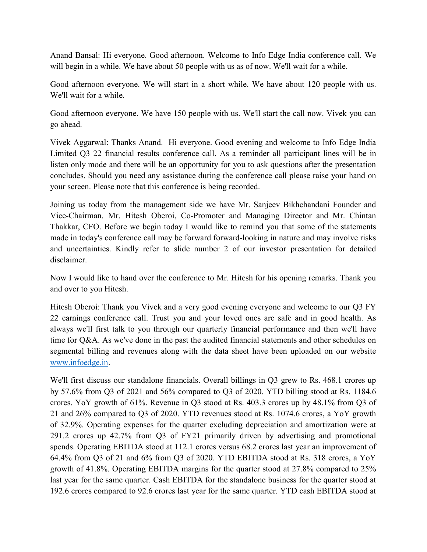Anand Bansal: Hi everyone. Good afternoon. Welcome to Info Edge India conference call. We will begin in a while. We have about 50 people with us as of now. We'll wait for a while.

Good afternoon everyone. We will start in a short while. We have about 120 people with us. We'll wait for a while.

Good afternoon everyone. We have 150 people with us. We'll start the call now. Vivek you can go ahead.

Vivek Aggarwal: Thanks Anand. Hi everyone. Good evening and welcome to Info Edge India Limited Q3 22 financial results conference call. As a reminder all participant lines will be in listen only mode and there will be an opportunity for you to ask questions after the presentation concludes. Should you need any assistance during the conference call please raise your hand on your screen. Please note that this conference is being recorded.

Joining us today from the management side we have Mr. Sanjeev Bikhchandani Founder and Vice-Chairman. Mr. Hitesh Oberoi, Co-Promoter and Managing Director and Mr. Chintan Thakkar, CFO. Before we begin today I would like to remind you that some of the statements made in today's conference call may be forward forward-looking in nature and may involve risks and uncertainties. Kindly refer to slide number 2 of our investor presentation for detailed disclaimer.

Now I would like to hand over the conference to Mr. Hitesh for his opening remarks. Thank you and over to you Hitesh.

Hitesh Oberoi: Thank you Vivek and a very good evening everyone and welcome to our Q3 FY 22 earnings conference call. Trust you and your loved ones are safe and in good health. As always we'll first talk to you through our quarterly financial performance and then we'll have time for Q&A. As we've done in the past the audited financial statements and other schedules on segmental billing and revenues along with the data sheet have been uploaded on our website www.infoedge.in.

We'll first discuss our standalone financials. Overall billings in Q3 grew to Rs. 468.1 crores up by 57.6% from Q3 of 2021 and 56% compared to Q3 of 2020. YTD billing stood at Rs. 1184.6 crores. YoY growth of 61%. Revenue in Q3 stood at Rs. 403.3 crores up by 48.1% from Q3 of 21 and 26% compared to Q3 of 2020. YTD revenues stood at Rs. 1074.6 crores, a YoY growth of 32.9%. Operating expenses for the quarter excluding depreciation and amortization were at 291.2 crores up 42.7% from Q3 of FY21 primarily driven by advertising and promotional spends. Operating EBITDA stood at 112.1 crores versus 68.2 crores last year an improvement of 64.4% from Q3 of 21 and 6% from Q3 of 2020. YTD EBITDA stood at Rs. 318 crores, a YoY growth of 41.8%. Operating EBITDA margins for the quarter stood at 27.8% compared to 25% last year for the same quarter. Cash EBITDA for the standalone business for the quarter stood at 192.6 crores compared to 92.6 crores last year for the same quarter. YTD cash EBITDA stood at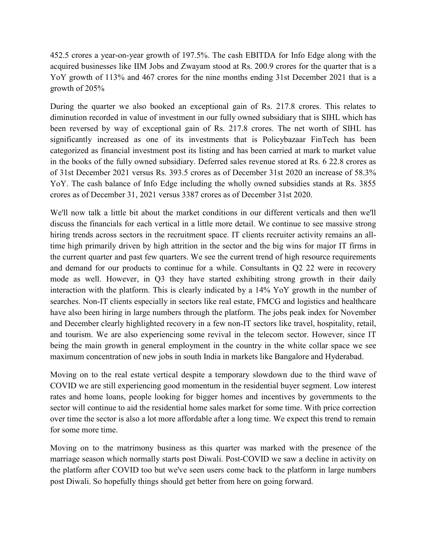452.5 crores a year-on-year growth of 197.5%. The cash EBITDA for Info Edge along with the acquired businesses like IIM Jobs and Zwayam stood at Rs. 200.9 crores for the quarter that is a YoY growth of 113% and 467 crores for the nine months ending 31st December 2021 that is a growth of 205%

During the quarter we also booked an exceptional gain of Rs. 217.8 crores. This relates to diminution recorded in value of investment in our fully owned subsidiary that is SIHL which has been reversed by way of exceptional gain of Rs. 217.8 crores. The net worth of SIHL has significantly increased as one of its investments that is Policybazaar FinTech has been categorized as financial investment post its listing and has been carried at mark to market value in the books of the fully owned subsidiary. Deferred sales revenue stored at Rs. 6 22.8 crores as of 31st December 2021 versus Rs. 393.5 crores as of December 31st 2020 an increase of 58.3% YoY. The cash balance of Info Edge including the wholly owned subsidies stands at Rs. 3855 crores as of December 31, 2021 versus 3387 crores as of December 31st 2020.

We'll now talk a little bit about the market conditions in our different verticals and then we'll discuss the financials for each vertical in a little more detail. We continue to see massive strong hiring trends across sectors in the recruitment space. IT clients recruiter activity remains an alltime high primarily driven by high attrition in the sector and the big wins for major IT firms in the current quarter and past few quarters. We see the current trend of high resource requirements and demand for our products to continue for a while. Consultants in Q2 22 were in recovery mode as well. However, in Q3 they have started exhibiting strong growth in their daily interaction with the platform. This is clearly indicated by a 14% YoY growth in the number of searches. Non-IT clients especially in sectors like real estate, FMCG and logistics and healthcare have also been hiring in large numbers through the platform. The jobs peak index for November and December clearly highlighted recovery in a few non-IT sectors like travel, hospitality, retail, and tourism. We are also experiencing some revival in the telecom sector. However, since IT being the main growth in general employment in the country in the white collar space we see maximum concentration of new jobs in south India in markets like Bangalore and Hyderabad.

Moving on to the real estate vertical despite a temporary slowdown due to the third wave of COVID we are still experiencing good momentum in the residential buyer segment. Low interest rates and home loans, people looking for bigger homes and incentives by governments to the sector will continue to aid the residential home sales market for some time. With price correction over time the sector is also a lot more affordable after a long time. We expect this trend to remain for some more time.

Moving on to the matrimony business as this quarter was marked with the presence of the marriage season which normally starts post Diwali. Post-COVID we saw a decline in activity on the platform after COVID too but we've seen users come back to the platform in large numbers post Diwali. So hopefully things should get better from here on going forward.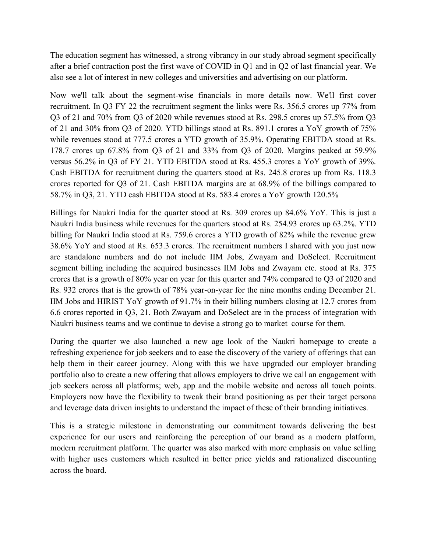The education segment has witnessed, a strong vibrancy in our study abroad segment specifically after a brief contraction post the first wave of COVID in Q1 and in Q2 of last financial year. We also see a lot of interest in new colleges and universities and advertising on our platform.

Now we'll talk about the segment-wise financials in more details now. We'll first cover recruitment. In Q3 FY 22 the recruitment segment the links were Rs. 356.5 crores up 77% from Q3 of 21 and 70% from Q3 of 2020 while revenues stood at Rs. 298.5 crores up 57.5% from Q3 of 21 and 30% from Q3 of 2020. YTD billings stood at Rs. 891.1 crores a YoY growth of 75% while revenues stood at 777.5 crores a YTD growth of 35.9%. Operating EBITDA stood at Rs. 178.7 crores up 67.8% from Q3 of 21 and 33% from Q3 of 2020. Margins peaked at 59.9% versus 56.2% in Q3 of FY 21. YTD EBITDA stood at Rs. 455.3 crores a YoY growth of 39%. Cash EBITDA for recruitment during the quarters stood at Rs. 245.8 crores up from Rs. 118.3 crores reported for Q3 of 21. Cash EBITDA margins are at 68.9% of the billings compared to 58.7% in Q3, 21. YTD cash EBITDA stood at Rs. 583.4 crores a YoY growth 120.5%

Billings for Naukri India for the quarter stood at Rs. 309 crores up 84.6% YoY. This is just a Naukri India business while revenues for the quarters stood at Rs. 254.93 crores up 63.2%. YTD billing for Naukri India stood at Rs. 759.6 crores a YTD growth of 82% while the revenue grew 38.6% YoY and stood at Rs. 653.3 crores. The recruitment numbers I shared with you just now are standalone numbers and do not include IIM Jobs, Zwayam and DoSelect. Recruitment segment billing including the acquired businesses IIM Jobs and Zwayam etc. stood at Rs. 375 crores that is a growth of 80% year on year for this quarter and 74% compared to Q3 of 2020 and Rs. 932 crores that is the growth of 78% year-on-year for the nine months ending December 21. IIM Jobs and HIRIST YoY growth of 91.7% in their billing numbers closing at 12.7 crores from 6.6 crores reported in Q3, 21. Both Zwayam and DoSelect are in the process of integration with Naukri business teams and we continue to devise a strong go to market course for them.

During the quarter we also launched a new age look of the Naukri homepage to create a refreshing experience for job seekers and to ease the discovery of the variety of offerings that can help them in their career journey. Along with this we have upgraded our employer branding portfolio also to create a new offering that allows employers to drive we call an engagement with job seekers across all platforms; web, app and the mobile website and across all touch points. Employers now have the flexibility to tweak their brand positioning as per their target persona and leverage data driven insights to understand the impact of these of their branding initiatives.

This is a strategic milestone in demonstrating our commitment towards delivering the best experience for our users and reinforcing the perception of our brand as a modern platform, modern recruitment platform. The quarter was also marked with more emphasis on value selling with higher uses customers which resulted in better price yields and rationalized discounting across the board.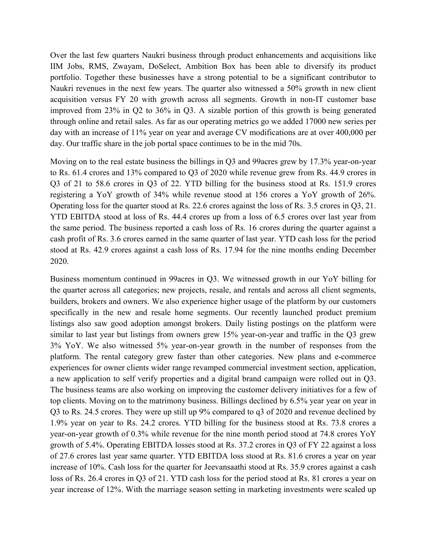Over the last few quarters Naukri business through product enhancements and acquisitions like IIM Jobs, RMS, Zwayam, DoSelect, Ambition Box has been able to diversify its product portfolio. Together these businesses have a strong potential to be a significant contributor to Naukri revenues in the next few years. The quarter also witnessed a 50% growth in new client acquisition versus FY 20 with growth across all segments. Growth in non-IT customer base improved from 23% in Q2 to 36% in Q3. A sizable portion of this growth is being generated through online and retail sales. As far as our operating metrics go we added 17000 new series per day with an increase of 11% year on year and average CV modifications are at over 400,000 per day. Our traffic share in the job portal space continues to be in the mid 70s.

Moving on to the real estate business the billings in Q3 and 99acres grew by 17.3% year-on-year to Rs. 61.4 crores and 13% compared to Q3 of 2020 while revenue grew from Rs. 44.9 crores in Q3 of 21 to 58.6 crores in Q3 of 22. YTD billing for the business stood at Rs. 151.9 crores registering a YoY growth of 34% while revenue stood at 156 crores a YoY growth of 26%. Operating loss for the quarter stood at Rs. 22.6 crores against the loss of Rs. 3.5 crores in Q3, 21. YTD EBITDA stood at loss of Rs. 44.4 crores up from a loss of 6.5 crores over last year from the same period. The business reported a cash loss of Rs. 16 crores during the quarter against a cash profit of Rs. 3.6 crores earned in the same quarter of last year. YTD cash loss for the period stood at Rs. 42.9 crores against a cash loss of Rs. 17.94 for the nine months ending December 2020.

Business momentum continued in 99acres in Q3. We witnessed growth in our YoY billing for the quarter across all categories; new projects, resale, and rentals and across all client segments, builders, brokers and owners. We also experience higher usage of the platform by our customers specifically in the new and resale home segments. Our recently launched product premium listings also saw good adoption amongst brokers. Daily listing postings on the platform were similar to last year but listings from owners grew 15% year-on-year and traffic in the Q3 grew 3% YoY. We also witnessed 5% year-on-year growth in the number of responses from the platform. The rental category grew faster than other categories. New plans and e-commerce experiences for owner clients wider range revamped commercial investment section, application, a new application to self verify properties and a digital brand campaign were rolled out in Q3. The business teams are also working on improving the customer delivery initiatives for a few of top clients. Moving on to the matrimony business. Billings declined by 6.5% year year on year in Q3 to Rs. 24.5 crores. They were up still up 9% compared to q3 of 2020 and revenue declined by 1.9% year on year to Rs. 24.2 crores. YTD billing for the business stood at Rs. 73.8 crores a year-on-year growth of 0.3% while revenue for the nine month period stood at 74.8 crores YoY growth of 5.4%. Operating EBITDA losses stood at Rs. 37.2 crores in Q3 of FY 22 against a loss of 27.6 crores last year same quarter. YTD EBITDA loss stood at Rs. 81.6 crores a year on year increase of 10%. Cash loss for the quarter for Jeevansaathi stood at Rs. 35.9 crores against a cash loss of Rs. 26.4 crores in Q3 of 21. YTD cash loss for the period stood at Rs. 81 crores a year on year increase of 12%. With the marriage season setting in marketing investments were scaled up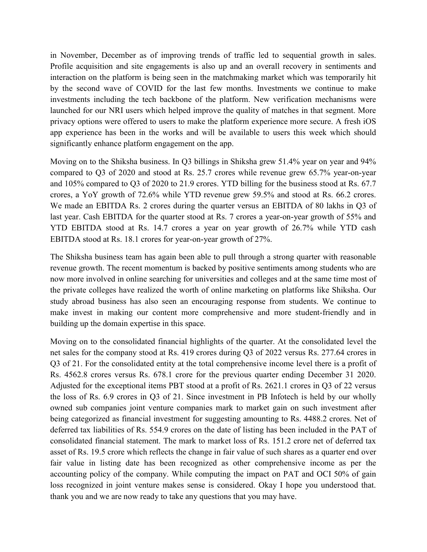in November, December as of improving trends of traffic led to sequential growth in sales. Profile acquisition and site engagements is also up and an overall recovery in sentiments and interaction on the platform is being seen in the matchmaking market which was temporarily hit by the second wave of COVID for the last few months. Investments we continue to make investments including the tech backbone of the platform. New verification mechanisms were launched for our NRI users which helped improve the quality of matches in that segment. More privacy options were offered to users to make the platform experience more secure. A fresh iOS app experience has been in the works and will be available to users this week which should significantly enhance platform engagement on the app.

Moving on to the Shiksha business. In Q3 billings in Shiksha grew 51.4% year on year and 94% compared to Q3 of 2020 and stood at Rs. 25.7 crores while revenue grew 65.7% year-on-year and 105% compared to Q3 of 2020 to 21.9 crores. YTD billing for the business stood at Rs. 67.7 crores, a YoY growth of 72.6% while YTD revenue grew 59.5% and stood at Rs. 66.2 crores. We made an EBITDA Rs. 2 crores during the quarter versus an EBITDA of 80 lakhs in Q3 of last year. Cash EBITDA for the quarter stood at Rs. 7 crores a year-on-year growth of 55% and YTD EBITDA stood at Rs. 14.7 crores a year on year growth of 26.7% while YTD cash EBITDA stood at Rs. 18.1 crores for year-on-year growth of 27%.

The Shiksha business team has again been able to pull through a strong quarter with reasonable revenue growth. The recent momentum is backed by positive sentiments among students who are now more involved in online searching for universities and colleges and at the same time most of the private colleges have realized the worth of online marketing on platforms like Shiksha. Our study abroad business has also seen an encouraging response from students. We continue to make invest in making our content more comprehensive and more student-friendly and in building up the domain expertise in this space.

Moving on to the consolidated financial highlights of the quarter. At the consolidated level the net sales for the company stood at Rs. 419 crores during Q3 of 2022 versus Rs. 277.64 crores in Q3 of 21. For the consolidated entity at the total comprehensive income level there is a profit of Rs. 4562.8 crores versus Rs. 678.1 crore for the previous quarter ending December 31 2020. Adjusted for the exceptional items PBT stood at a profit of Rs. 2621.1 crores in Q3 of 22 versus the loss of Rs. 6.9 crores in Q3 of 21. Since investment in PB Infotech is held by our wholly owned sub companies joint venture companies mark to market gain on such investment after being categorized as financial investment for suggesting amounting to Rs. 4488.2 crores. Net of deferred tax liabilities of Rs. 554.9 crores on the date of listing has been included in the PAT of consolidated financial statement. The mark to market loss of Rs. 151.2 crore net of deferred tax asset of Rs. 19.5 crore which reflects the change in fair value of such shares as a quarter end over fair value in listing date has been recognized as other comprehensive income as per the accounting policy of the company. While computing the impact on PAT and OCI 50% of gain loss recognized in joint venture makes sense is considered. Okay I hope you understood that. thank you and we are now ready to take any questions that you may have.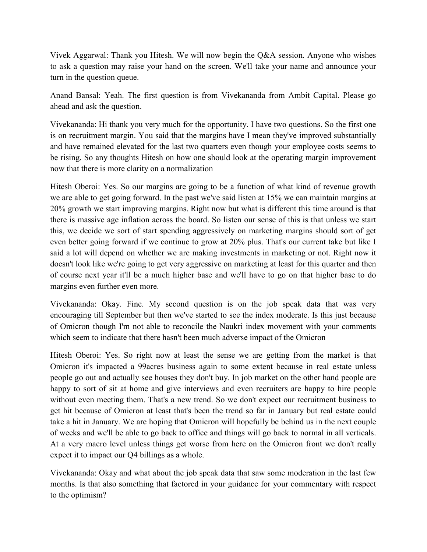Vivek Aggarwal: Thank you Hitesh. We will now begin the Q&A session. Anyone who wishes to ask a question may raise your hand on the screen. We'll take your name and announce your turn in the question queue.

Anand Bansal: Yeah. The first question is from Vivekananda from Ambit Capital. Please go ahead and ask the question.

Vivekananda: Hi thank you very much for the opportunity. I have two questions. So the first one is on recruitment margin. You said that the margins have I mean they've improved substantially and have remained elevated for the last two quarters even though your employee costs seems to be rising. So any thoughts Hitesh on how one should look at the operating margin improvement now that there is more clarity on a normalization

Hitesh Oberoi: Yes. So our margins are going to be a function of what kind of revenue growth we are able to get going forward. In the past we've said listen at 15% we can maintain margins at 20% growth we start improving margins. Right now but what is different this time around is that there is massive age inflation across the board. So listen our sense of this is that unless we start this, we decide we sort of start spending aggressively on marketing margins should sort of get even better going forward if we continue to grow at 20% plus. That's our current take but like I said a lot will depend on whether we are making investments in marketing or not. Right now it doesn't look like we're going to get very aggressive on marketing at least for this quarter and then of course next year it'll be a much higher base and we'll have to go on that higher base to do margins even further even more.

Vivekananda: Okay. Fine. My second question is on the job speak data that was very encouraging till September but then we've started to see the index moderate. Is this just because of Omicron though I'm not able to reconcile the Naukri index movement with your comments which seem to indicate that there hasn't been much adverse impact of the Omicron

Hitesh Oberoi: Yes. So right now at least the sense we are getting from the market is that Omicron it's impacted a 99acres business again to some extent because in real estate unless people go out and actually see houses they don't buy. In job market on the other hand people are happy to sort of sit at home and give interviews and even recruiters are happy to hire people without even meeting them. That's a new trend. So we don't expect our recruitment business to get hit because of Omicron at least that's been the trend so far in January but real estate could take a hit in January. We are hoping that Omicron will hopefully be behind us in the next couple of weeks and we'll be able to go back to office and things will go back to normal in all verticals. At a very macro level unless things get worse from here on the Omicron front we don't really expect it to impact our Q4 billings as a whole.

Vivekananda: Okay and what about the job speak data that saw some moderation in the last few months. Is that also something that factored in your guidance for your commentary with respect to the optimism?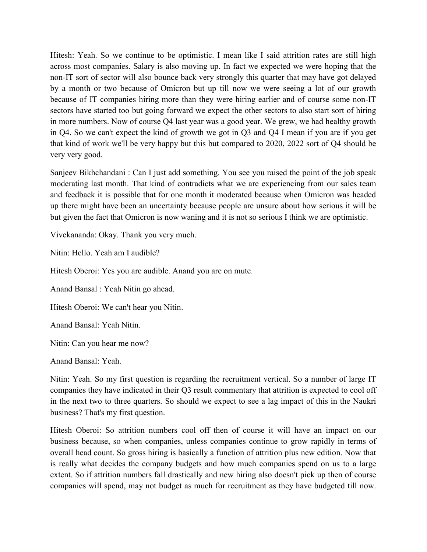Hitesh: Yeah. So we continue to be optimistic. I mean like I said attrition rates are still high across most companies. Salary is also moving up. In fact we expected we were hoping that the non-IT sort of sector will also bounce back very strongly this quarter that may have got delayed by a month or two because of Omicron but up till now we were seeing a lot of our growth because of IT companies hiring more than they were hiring earlier and of course some non-IT sectors have started too but going forward we expect the other sectors to also start sort of hiring in more numbers. Now of course Q4 last year was a good year. We grew, we had healthy growth in Q4. So we can't expect the kind of growth we got in Q3 and Q4 I mean if you are if you get that kind of work we'll be very happy but this but compared to 2020, 2022 sort of Q4 should be very very good.

Sanjeev Bikhchandani : Can I just add something. You see you raised the point of the job speak moderating last month. That kind of contradicts what we are experiencing from our sales team and feedback it is possible that for one month it moderated because when Omicron was headed up there might have been an uncertainty because people are unsure about how serious it will be but given the fact that Omicron is now waning and it is not so serious I think we are optimistic.

Vivekananda: Okay. Thank you very much.

Nitin: Hello. Yeah am I audible?

Hitesh Oberoi: Yes you are audible. Anand you are on mute.

Anand Bansal : Yeah Nitin go ahead.

Hitesh Oberoi: We can't hear you Nitin.

Anand Bansal: Yeah Nitin.

Nitin: Can you hear me now?

Anand Bansal: Yeah.

Nitin: Yeah. So my first question is regarding the recruitment vertical. So a number of large IT companies they have indicated in their Q3 result commentary that attrition is expected to cool off in the next two to three quarters. So should we expect to see a lag impact of this in the Naukri business? That's my first question.

Hitesh Oberoi: So attrition numbers cool off then of course it will have an impact on our business because, so when companies, unless companies continue to grow rapidly in terms of overall head count. So gross hiring is basically a function of attrition plus new edition. Now that is really what decides the company budgets and how much companies spend on us to a large extent. So if attrition numbers fall drastically and new hiring also doesn't pick up then of course companies will spend, may not budget as much for recruitment as they have budgeted till now.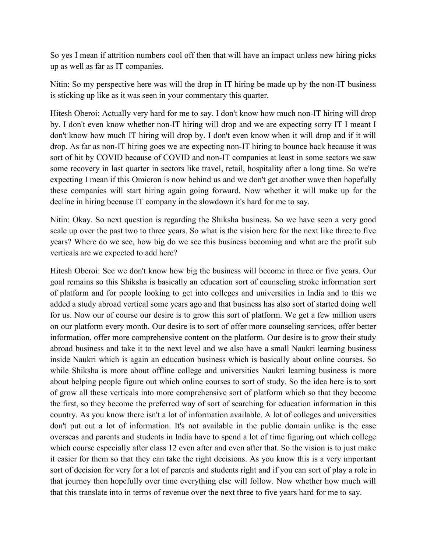So yes I mean if attrition numbers cool off then that will have an impact unless new hiring picks up as well as far as IT companies.

Nitin: So my perspective here was will the drop in IT hiring be made up by the non-IT business is sticking up like as it was seen in your commentary this quarter.

Hitesh Oberoi: Actually very hard for me to say. I don't know how much non-IT hiring will drop by. I don't even know whether non-IT hiring will drop and we are expecting sorry IT I meant I don't know how much IT hiring will drop by. I don't even know when it will drop and if it will drop. As far as non-IT hiring goes we are expecting non-IT hiring to bounce back because it was sort of hit by COVID because of COVID and non-IT companies at least in some sectors we saw some recovery in last quarter in sectors like travel, retail, hospitality after a long time. So we're expecting I mean if this Omicron is now behind us and we don't get another wave then hopefully these companies will start hiring again going forward. Now whether it will make up for the decline in hiring because IT company in the slowdown it's hard for me to say.

Nitin: Okay. So next question is regarding the Shiksha business. So we have seen a very good scale up over the past two to three years. So what is the vision here for the next like three to five years? Where do we see, how big do we see this business becoming and what are the profit sub verticals are we expected to add here?

Hitesh Oberoi: See we don't know how big the business will become in three or five years. Our goal remains so this Shiksha is basically an education sort of counseling stroke information sort of platform and for people looking to get into colleges and universities in India and to this we added a study abroad vertical some years ago and that business has also sort of started doing well for us. Now our of course our desire is to grow this sort of platform. We get a few million users on our platform every month. Our desire is to sort of offer more counseling services, offer better information, offer more comprehensive content on the platform. Our desire is to grow their study abroad business and take it to the next level and we also have a small Naukri learning business inside Naukri which is again an education business which is basically about online courses. So while Shiksha is more about offline college and universities Naukri learning business is more about helping people figure out which online courses to sort of study. So the idea here is to sort of grow all these verticals into more comprehensive sort of platform which so that they become the first, so they become the preferred way of sort of searching for education information in this country. As you know there isn't a lot of information available. A lot of colleges and universities don't put out a lot of information. It's not available in the public domain unlike is the case overseas and parents and students in India have to spend a lot of time figuring out which college which course especially after class 12 even after and even after that. So the vision is to just make it easier for them so that they can take the right decisions. As you know this is a very important sort of decision for very for a lot of parents and students right and if you can sort of play a role in that journey then hopefully over time everything else will follow. Now whether how much will that this translate into in terms of revenue over the next three to five years hard for me to say.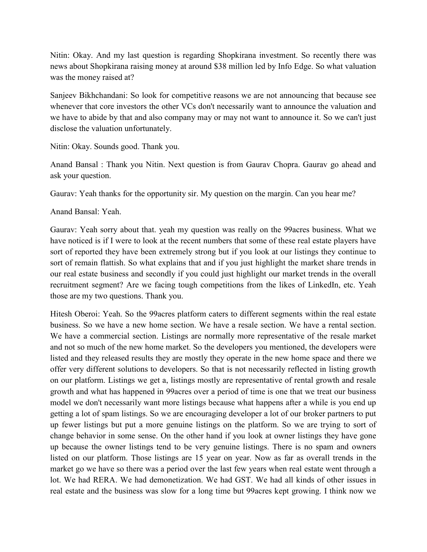Nitin: Okay. And my last question is regarding Shopkirana investment. So recently there was news about Shopkirana raising money at around \$38 million led by Info Edge. So what valuation was the money raised at?

Sanjeev Bikhchandani: So look for competitive reasons we are not announcing that because see whenever that core investors the other VCs don't necessarily want to announce the valuation and we have to abide by that and also company may or may not want to announce it. So we can't just disclose the valuation unfortunately.

Nitin: Okay. Sounds good. Thank you.

Anand Bansal : Thank you Nitin. Next question is from Gaurav Chopra. Gaurav go ahead and ask your question.

Gaurav: Yeah thanks for the opportunity sir. My question on the margin. Can you hear me?

Anand Bansal: Yeah.

Gaurav: Yeah sorry about that. yeah my question was really on the 99acres business. What we have noticed is if I were to look at the recent numbers that some of these real estate players have sort of reported they have been extremely strong but if you look at our listings they continue to sort of remain flattish. So what explains that and if you just highlight the market share trends in our real estate business and secondly if you could just highlight our market trends in the overall recruitment segment? Are we facing tough competitions from the likes of LinkedIn, etc. Yeah those are my two questions. Thank you.

Hitesh Oberoi: Yeah. So the 99acres platform caters to different segments within the real estate business. So we have a new home section. We have a resale section. We have a rental section. We have a commercial section. Listings are normally more representative of the resale market and not so much of the new home market. So the developers you mentioned, the developers were listed and they released results they are mostly they operate in the new home space and there we offer very different solutions to developers. So that is not necessarily reflected in listing growth on our platform. Listings we get a, listings mostly are representative of rental growth and resale growth and what has happened in 99acres over a period of time is one that we treat our business model we don't necessarily want more listings because what happens after a while is you end up getting a lot of spam listings. So we are encouraging developer a lot of our broker partners to put up fewer listings but put a more genuine listings on the platform. So we are trying to sort of change behavior in some sense. On the other hand if you look at owner listings they have gone up because the owner listings tend to be very genuine listings. There is no spam and owners listed on our platform. Those listings are 15 year on year. Now as far as overall trends in the market go we have so there was a period over the last few years when real estate went through a lot. We had RERA. We had demonetization. We had GST. We had all kinds of other issues in real estate and the business was slow for a long time but 99acres kept growing. I think now we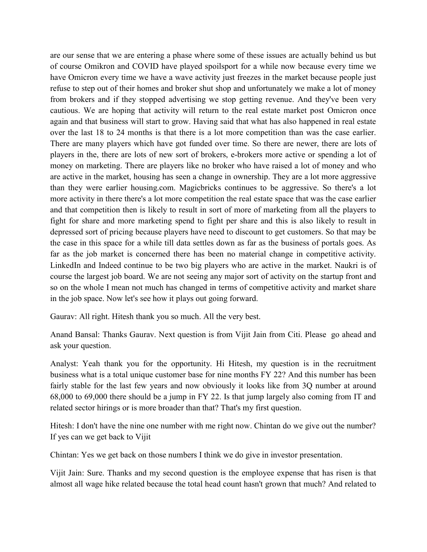are our sense that we are entering a phase where some of these issues are actually behind us but of course Omikron and COVID have played spoilsport for a while now because every time we have Omicron every time we have a wave activity just freezes in the market because people just refuse to step out of their homes and broker shut shop and unfortunately we make a lot of money from brokers and if they stopped advertising we stop getting revenue. And they've been very cautious. We are hoping that activity will return to the real estate market post Omicron once again and that business will start to grow. Having said that what has also happened in real estate over the last 18 to 24 months is that there is a lot more competition than was the case earlier. There are many players which have got funded over time. So there are newer, there are lots of players in the, there are lots of new sort of brokers, e-brokers more active or spending a lot of money on marketing. There are players like no broker who have raised a lot of money and who are active in the market, housing has seen a change in ownership. They are a lot more aggressive than they were earlier housing.com. Magicbricks continues to be aggressive. So there's a lot more activity in there there's a lot more competition the real estate space that was the case earlier and that competition then is likely to result in sort of more of marketing from all the players to fight for share and more marketing spend to fight per share and this is also likely to result in depressed sort of pricing because players have need to discount to get customers. So that may be the case in this space for a while till data settles down as far as the business of portals goes. As far as the job market is concerned there has been no material change in competitive activity. LinkedIn and Indeed continue to be two big players who are active in the market. Naukri is of course the largest job board. We are not seeing any major sort of activity on the startup front and so on the whole I mean not much has changed in terms of competitive activity and market share in the job space. Now let's see how it plays out going forward.

Gaurav: All right. Hitesh thank you so much. All the very best.

Anand Bansal: Thanks Gaurav. Next question is from Vijit Jain from Citi. Please go ahead and ask your question.

Analyst: Yeah thank you for the opportunity. Hi Hitesh, my question is in the recruitment business what is a total unique customer base for nine months FY 22? And this number has been fairly stable for the last few years and now obviously it looks like from 3Q number at around 68,000 to 69,000 there should be a jump in FY 22. Is that jump largely also coming from IT and related sector hirings or is more broader than that? That's my first question.

Hitesh: I don't have the nine one number with me right now. Chintan do we give out the number? If yes can we get back to Vijit

Chintan: Yes we get back on those numbers I think we do give in investor presentation.

Vijit Jain: Sure. Thanks and my second question is the employee expense that has risen is that almost all wage hike related because the total head count hasn't grown that much? And related to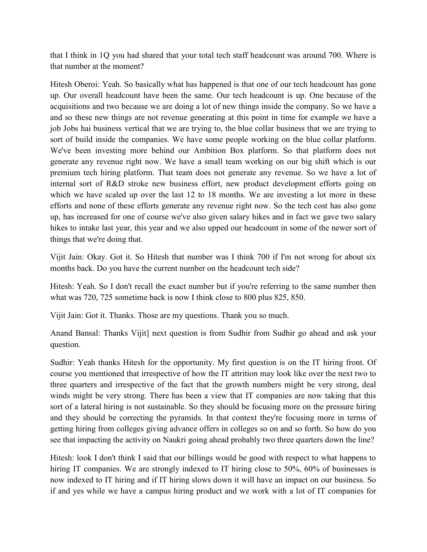that I think in 1Q you had shared that your total tech staff headcount was around 700. Where is that number at the moment?

Hitesh Oberoi: Yeah. So basically what has happened is that one of our tech headcount has gone up. Our overall headcount have been the same. Our tech headcount is up. One because of the acquisitions and two because we are doing a lot of new things inside the company. So we have a and so these new things are not revenue generating at this point in time for example we have a job Jobs hai business vertical that we are trying to, the blue collar business that we are trying to sort of build inside the companies. We have some people working on the blue collar platform. We've been investing more behind our Ambition Box platform. So that platform does not generate any revenue right now. We have a small team working on our big shift which is our premium tech hiring platform. That team does not generate any revenue. So we have a lot of internal sort of R&D stroke new business effort, new product development efforts going on which we have scaled up over the last 12 to 18 months. We are investing a lot more in these efforts and none of these efforts generate any revenue right now. So the tech cost has also gone up, has increased for one of course we've also given salary hikes and in fact we gave two salary hikes to intake last year, this year and we also upped our headcount in some of the newer sort of things that we're doing that.

Vijit Jain: Okay. Got it. So Hitesh that number was I think 700 if I'm not wrong for about six months back. Do you have the current number on the headcount tech side?

Hitesh: Yeah. So I don't recall the exact number but if you're referring to the same number then what was 720, 725 sometime back is now I think close to 800 plus 825, 850.

Vijit Jain: Got it. Thanks. Those are my questions. Thank you so much.

Anand Bansal: Thanks Vijit] next question is from Sudhir from Sudhir go ahead and ask your question.

Sudhir: Yeah thanks Hitesh for the opportunity. My first question is on the IT hiring front. Of course you mentioned that irrespective of how the IT attrition may look like over the next two to three quarters and irrespective of the fact that the growth numbers might be very strong, deal winds might be very strong. There has been a view that IT companies are now taking that this sort of a lateral hiring is not sustainable. So they should be focusing more on the pressure hiring and they should be correcting the pyramids. In that context they're focusing more in terms of getting hiring from colleges giving advance offers in colleges so on and so forth. So how do you see that impacting the activity on Naukri going ahead probably two three quarters down the line?

Hitesh: look I don't think I said that our billings would be good with respect to what happens to hiring IT companies. We are strongly indexed to IT hiring close to 50%, 60% of businesses is now indexed to IT hiring and if IT hiring slows down it will have an impact on our business. So if and yes while we have a campus hiring product and we work with a lot of IT companies for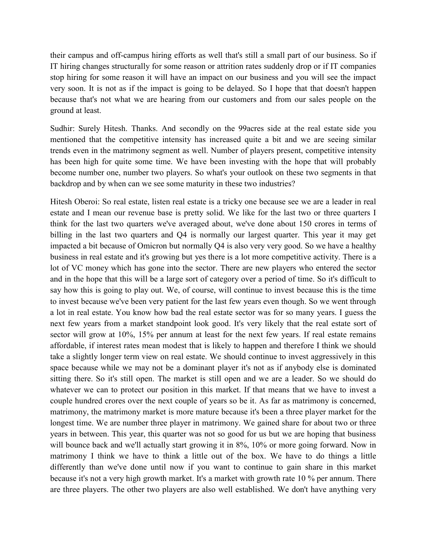their campus and off-campus hiring efforts as well that's still a small part of our business. So if IT hiring changes structurally for some reason or attrition rates suddenly drop or if IT companies stop hiring for some reason it will have an impact on our business and you will see the impact very soon. It is not as if the impact is going to be delayed. So I hope that that doesn't happen because that's not what we are hearing from our customers and from our sales people on the ground at least.

Sudhir: Surely Hitesh. Thanks. And secondly on the 99acres side at the real estate side you mentioned that the competitive intensity has increased quite a bit and we are seeing similar trends even in the matrimony segment as well. Number of players present, competitive intensity has been high for quite some time. We have been investing with the hope that will probably become number one, number two players. So what's your outlook on these two segments in that backdrop and by when can we see some maturity in these two industries?

Hitesh Oberoi: So real estate, listen real estate is a tricky one because see we are a leader in real estate and I mean our revenue base is pretty solid. We like for the last two or three quarters I think for the last two quarters we've averaged about, we've done about 150 crores in terms of billing in the last two quarters and Q4 is normally our largest quarter. This year it may get impacted a bit because of Omicron but normally Q4 is also very very good. So we have a healthy business in real estate and it's growing but yes there is a lot more competitive activity. There is a lot of VC money which has gone into the sector. There are new players who entered the sector and in the hope that this will be a large sort of category over a period of time. So it's difficult to say how this is going to play out. We, of course, will continue to invest because this is the time to invest because we've been very patient for the last few years even though. So we went through a lot in real estate. You know how bad the real estate sector was for so many years. I guess the next few years from a market standpoint look good. It's very likely that the real estate sort of sector will grow at 10%, 15% per annum at least for the next few years. If real estate remains affordable, if interest rates mean modest that is likely to happen and therefore I think we should take a slightly longer term view on real estate. We should continue to invest aggressively in this space because while we may not be a dominant player it's not as if anybody else is dominated sitting there. So it's still open. The market is still open and we are a leader. So we should do whatever we can to protect our position in this market. If that means that we have to invest a couple hundred crores over the next couple of years so be it. As far as matrimony is concerned, matrimony, the matrimony market is more mature because it's been a three player market for the longest time. We are number three player in matrimony. We gained share for about two or three years in between. This year, this quarter was not so good for us but we are hoping that business will bounce back and we'll actually start growing it in 8%, 10% or more going forward. Now in matrimony I think we have to think a little out of the box. We have to do things a little differently than we've done until now if you want to continue to gain share in this market because it's not a very high growth market. It's a market with growth rate 10 % per annum. There are three players. The other two players are also well established. We don't have anything very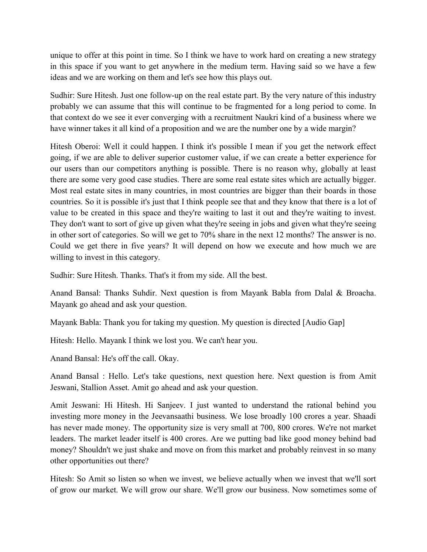unique to offer at this point in time. So I think we have to work hard on creating a new strategy in this space if you want to get anywhere in the medium term. Having said so we have a few ideas and we are working on them and let's see how this plays out.

Sudhir: Sure Hitesh. Just one follow-up on the real estate part. By the very nature of this industry probably we can assume that this will continue to be fragmented for a long period to come. In that context do we see it ever converging with a recruitment Naukri kind of a business where we have winner takes it all kind of a proposition and we are the number one by a wide margin?

Hitesh Oberoi: Well it could happen. I think it's possible I mean if you get the network effect going, if we are able to deliver superior customer value, if we can create a better experience for our users than our competitors anything is possible. There is no reason why, globally at least there are some very good case studies. There are some real estate sites which are actually bigger. Most real estate sites in many countries, in most countries are bigger than their boards in those countries. So it is possible it's just that I think people see that and they know that there is a lot of value to be created in this space and they're waiting to last it out and they're waiting to invest. They don't want to sort of give up given what they're seeing in jobs and given what they're seeing in other sort of categories. So will we get to 70% share in the next 12 months? The answer is no. Could we get there in five years? It will depend on how we execute and how much we are willing to invest in this category.

Sudhir: Sure Hitesh. Thanks. That's it from my side. All the best.

Anand Bansal: Thanks Suhdir. Next question is from Mayank Babla from Dalal & Broacha. Mayank go ahead and ask your question.

Mayank Babla: Thank you for taking my question. My question is directed [Audio Gap]

Hitesh: Hello. Mayank I think we lost you. We can't hear you.

Anand Bansal: He's off the call. Okay.

Anand Bansal : Hello. Let's take questions, next question here. Next question is from Amit Jeswani, Stallion Asset. Amit go ahead and ask your question.

Amit Jeswani: Hi Hitesh. Hi Sanjeev. I just wanted to understand the rational behind you investing more money in the Jeevansaathi business. We lose broadly 100 crores a year. Shaadi has never made money. The opportunity size is very small at 700, 800 crores. We're not market leaders. The market leader itself is 400 crores. Are we putting bad like good money behind bad money? Shouldn't we just shake and move on from this market and probably reinvest in so many other opportunities out there?

Hitesh: So Amit so listen so when we invest, we believe actually when we invest that we'll sort of grow our market. We will grow our share. We'll grow our business. Now sometimes some of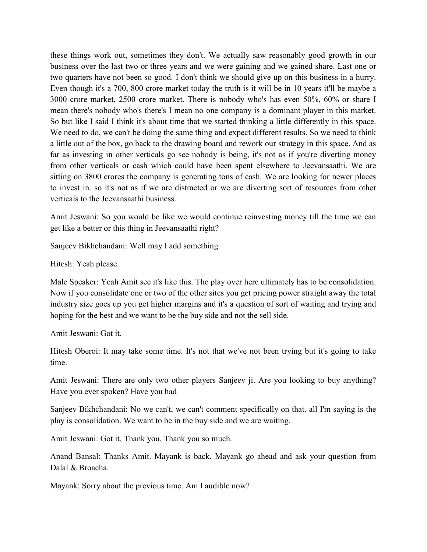these things work out, sometimes they don't. We actually saw reasonably good growth in our business over the last two or three years and we were gaining and we gained share. Last one or two quarters have not been so good. I don't think we should give up on this business in a hurry. Even though it's a 700, 800 crore market today the truth is it will be in 10 years it'll be maybe a 3000 crore market, 2500 crore market. There is nobody who's has even 50%, 60% or share I mean there's nobody who's there's I mean no one company is a dominant player in this market. So but like I said I think it's about time that we started thinking a little differently in this space. We need to do, we can't be doing the same thing and expect different results. So we need to think a little out of the box, go back to the drawing board and rework our strategy in this space. And as far as investing in other verticals go see nobody is being, it's not as if you're diverting money from other verticals or cash which could have been spent elsewhere to Jeevansaathi. We are sitting on 3800 crores the company is generating tons of cash. We are looking for newer places to invest in. so it's not as if we are distracted or we are diverting sort of resources from other verticals to the Jeevansaathi business.

Amit Jeswani: So you would be like we would continue reinvesting money till the time we can get like a better or this thing in Jeevansaathi right?

Sanjeev Bikhchandani: Well may I add something.

Hitesh: Yeah please.

Male Speaker: Yeah Amit see it's like this. The play over here ultimately has to be consolidation. Now if you consolidate one or two of the other sites you get pricing power straight away the total industry size goes up you get higher margins and it's a question of sort of waiting and trying and hoping for the best and we want to be the buy side and not the sell side.

Amit Jeswani: Got it.

Hitesh Oberoi: It may take some time. It's not that we've not been trying but it's going to take time.

Amit Jeswani: There are only two other players Sanjeev ji. Are you looking to buy anything? Have you ever spoken? Have you had –

Sanjeev Bikhchandani: No we can't, we can't comment specifically on that. all I'm saying is the play is consolidation. We want to be in the buy side and we are waiting.

Amit Jeswani: Got it. Thank you. Thank you so much.

Anand Bansal: Thanks Amit. Mayank is back. Mayank go ahead and ask your question from Dalal & Broacha.

Mayank: Sorry about the previous time. Am I audible now?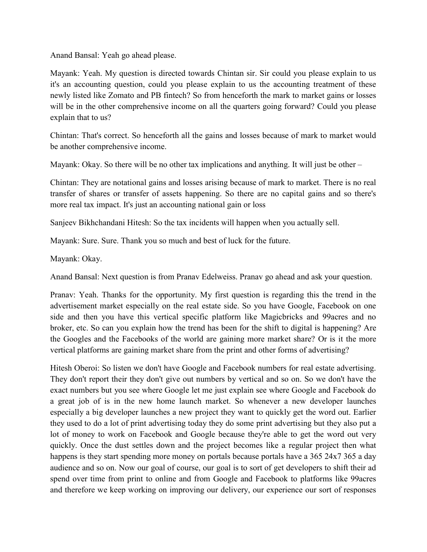Anand Bansal: Yeah go ahead please.

Mayank: Yeah. My question is directed towards Chintan sir. Sir could you please explain to us it's an accounting question, could you please explain to us the accounting treatment of these newly listed like Zomato and PB fintech? So from henceforth the mark to market gains or losses will be in the other comprehensive income on all the quarters going forward? Could you please explain that to us?

Chintan: That's correct. So henceforth all the gains and losses because of mark to market would be another comprehensive income.

Mayank: Okay. So there will be no other tax implications and anything. It will just be other –

Chintan: They are notational gains and losses arising because of mark to market. There is no real transfer of shares or transfer of assets happening. So there are no capital gains and so there's more real tax impact. It's just an accounting national gain or loss

Sanjeev Bikhchandani Hitesh: So the tax incidents will happen when you actually sell.

Mayank: Sure. Sure. Thank you so much and best of luck for the future.

Mayank: Okay.

Anand Bansal: Next question is from Pranav Edelweiss. Pranav go ahead and ask your question.

Pranav: Yeah. Thanks for the opportunity. My first question is regarding this the trend in the advertisement market especially on the real estate side. So you have Google, Facebook on one side and then you have this vertical specific platform like Magicbricks and 99acres and no broker, etc. So can you explain how the trend has been for the shift to digital is happening? Are the Googles and the Facebooks of the world are gaining more market share? Or is it the more vertical platforms are gaining market share from the print and other forms of advertising?

Hitesh Oberoi: So listen we don't have Google and Facebook numbers for real estate advertising. They don't report their they don't give out numbers by vertical and so on. So we don't have the exact numbers but you see where Google let me just explain see where Google and Facebook do a great job of is in the new home launch market. So whenever a new developer launches especially a big developer launches a new project they want to quickly get the word out. Earlier they used to do a lot of print advertising today they do some print advertising but they also put a lot of money to work on Facebook and Google because they're able to get the word out very quickly. Once the dust settles down and the project becomes like a regular project then what happens is they start spending more money on portals because portals have a 365 24x7 365 a day audience and so on. Now our goal of course, our goal is to sort of get developers to shift their ad spend over time from print to online and from Google and Facebook to platforms like 99acres and therefore we keep working on improving our delivery, our experience our sort of responses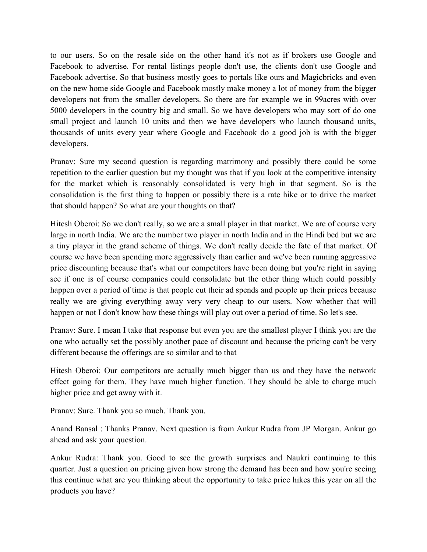to our users. So on the resale side on the other hand it's not as if brokers use Google and Facebook to advertise. For rental listings people don't use, the clients don't use Google and Facebook advertise. So that business mostly goes to portals like ours and Magicbricks and even on the new home side Google and Facebook mostly make money a lot of money from the bigger developers not from the smaller developers. So there are for example we in 99acres with over 5000 developers in the country big and small. So we have developers who may sort of do one small project and launch 10 units and then we have developers who launch thousand units, thousands of units every year where Google and Facebook do a good job is with the bigger developers.

Pranav: Sure my second question is regarding matrimony and possibly there could be some repetition to the earlier question but my thought was that if you look at the competitive intensity for the market which is reasonably consolidated is very high in that segment. So is the consolidation is the first thing to happen or possibly there is a rate hike or to drive the market that should happen? So what are your thoughts on that?

Hitesh Oberoi: So we don't really, so we are a small player in that market. We are of course very large in north India. We are the number two player in north India and in the Hindi bed but we are a tiny player in the grand scheme of things. We don't really decide the fate of that market. Of course we have been spending more aggressively than earlier and we've been running aggressive price discounting because that's what our competitors have been doing but you're right in saying see if one is of course companies could consolidate but the other thing which could possibly happen over a period of time is that people cut their ad spends and people up their prices because really we are giving everything away very very cheap to our users. Now whether that will happen or not I don't know how these things will play out over a period of time. So let's see.

Pranav: Sure. I mean I take that response but even you are the smallest player I think you are the one who actually set the possibly another pace of discount and because the pricing can't be very different because the offerings are so similar and to that –

Hitesh Oberoi: Our competitors are actually much bigger than us and they have the network effect going for them. They have much higher function. They should be able to charge much higher price and get away with it.

Pranav: Sure. Thank you so much. Thank you.

Anand Bansal : Thanks Pranav. Next question is from Ankur Rudra from JP Morgan. Ankur go ahead and ask your question.

Ankur Rudra: Thank you. Good to see the growth surprises and Naukri continuing to this quarter. Just a question on pricing given how strong the demand has been and how you're seeing this continue what are you thinking about the opportunity to take price hikes this year on all the products you have?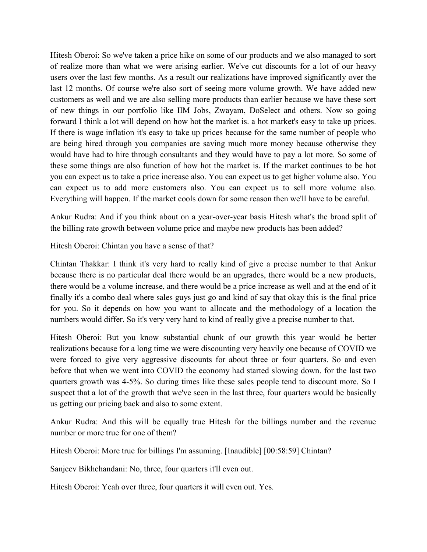Hitesh Oberoi: So we've taken a price hike on some of our products and we also managed to sort of realize more than what we were arising earlier. We've cut discounts for a lot of our heavy users over the last few months. As a result our realizations have improved significantly over the last 12 months. Of course we're also sort of seeing more volume growth. We have added new customers as well and we are also selling more products than earlier because we have these sort of new things in our portfolio like IIM Jobs, Zwayam, DoSelect and others. Now so going forward I think a lot will depend on how hot the market is. a hot market's easy to take up prices. If there is wage inflation it's easy to take up prices because for the same number of people who are being hired through you companies are saving much more money because otherwise they would have had to hire through consultants and they would have to pay a lot more. So some of these some things are also function of how hot the market is. If the market continues to be hot you can expect us to take a price increase also. You can expect us to get higher volume also. You can expect us to add more customers also. You can expect us to sell more volume also. Everything will happen. If the market cools down for some reason then we'll have to be careful.

Ankur Rudra: And if you think about on a year-over-year basis Hitesh what's the broad split of the billing rate growth between volume price and maybe new products has been added?

Hitesh Oberoi: Chintan you have a sense of that?

Chintan Thakkar: I think it's very hard to really kind of give a precise number to that Ankur because there is no particular deal there would be an upgrades, there would be a new products, there would be a volume increase, and there would be a price increase as well and at the end of it finally it's a combo deal where sales guys just go and kind of say that okay this is the final price for you. So it depends on how you want to allocate and the methodology of a location the numbers would differ. So it's very very hard to kind of really give a precise number to that.

Hitesh Oberoi: But you know substantial chunk of our growth this year would be better realizations because for a long time we were discounting very heavily one because of COVID we were forced to give very aggressive discounts for about three or four quarters. So and even before that when we went into COVID the economy had started slowing down. for the last two quarters growth was 4-5%. So during times like these sales people tend to discount more. So I suspect that a lot of the growth that we've seen in the last three, four quarters would be basically us getting our pricing back and also to some extent.

Ankur Rudra: And this will be equally true Hitesh for the billings number and the revenue number or more true for one of them?

Hitesh Oberoi: More true for billings I'm assuming. [Inaudible] [00:58:59] Chintan?

Sanjeev Bikhchandani: No, three, four quarters it'll even out.

Hitesh Oberoi: Yeah over three, four quarters it will even out. Yes.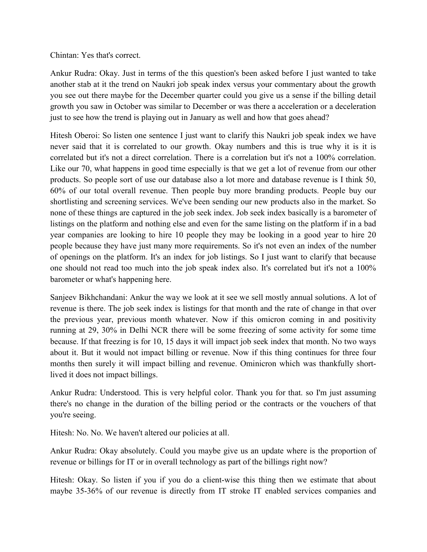Chintan: Yes that's correct.

Ankur Rudra: Okay. Just in terms of the this question's been asked before I just wanted to take another stab at it the trend on Naukri job speak index versus your commentary about the growth you see out there maybe for the December quarter could you give us a sense if the billing detail growth you saw in October was similar to December or was there a acceleration or a deceleration just to see how the trend is playing out in January as well and how that goes ahead?

Hitesh Oberoi: So listen one sentence I just want to clarify this Naukri job speak index we have never said that it is correlated to our growth. Okay numbers and this is true why it is it is correlated but it's not a direct correlation. There is a correlation but it's not a 100% correlation. Like our 70, what happens in good time especially is that we get a lot of revenue from our other products. So people sort of use our database also a lot more and database revenue is I think 50, 60% of our total overall revenue. Then people buy more branding products. People buy our shortlisting and screening services. We've been sending our new products also in the market. So none of these things are captured in the job seek index. Job seek index basically is a barometer of listings on the platform and nothing else and even for the same listing on the platform if in a bad year companies are looking to hire 10 people they may be looking in a good year to hire 20 people because they have just many more requirements. So it's not even an index of the number of openings on the platform. It's an index for job listings. So I just want to clarify that because one should not read too much into the job speak index also. It's correlated but it's not a 100% barometer or what's happening here.

Sanjeev Bikhchandani: Ankur the way we look at it see we sell mostly annual solutions. A lot of revenue is there. The job seek index is listings for that month and the rate of change in that over the previous year, previous month whatever. Now if this omicron coming in and positivity running at 29, 30% in Delhi NCR there will be some freezing of some activity for some time because. If that freezing is for 10, 15 days it will impact job seek index that month. No two ways about it. But it would not impact billing or revenue. Now if this thing continues for three four months then surely it will impact billing and revenue. Ominicron which was thankfully shortlived it does not impact billings.

Ankur Rudra: Understood. This is very helpful color. Thank you for that. so I'm just assuming there's no change in the duration of the billing period or the contracts or the vouchers of that you're seeing.

Hitesh: No. No. We haven't altered our policies at all.

Ankur Rudra: Okay absolutely. Could you maybe give us an update where is the proportion of revenue or billings for IT or in overall technology as part of the billings right now?

Hitesh: Okay. So listen if you if you do a client-wise this thing then we estimate that about maybe 35-36% of our revenue is directly from IT stroke IT enabled services companies and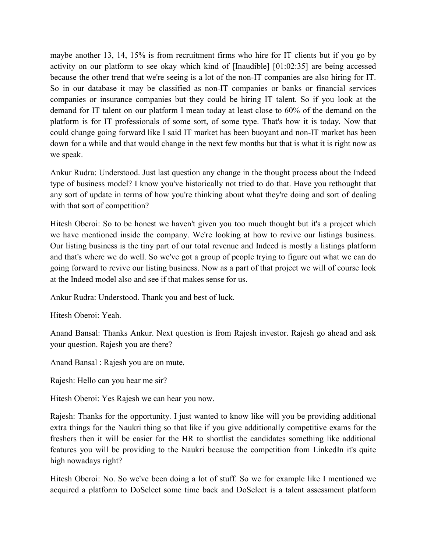maybe another 13, 14, 15% is from recruitment firms who hire for IT clients but if you go by activity on our platform to see okay which kind of [Inaudible] [01:02:35] are being accessed because the other trend that we're seeing is a lot of the non-IT companies are also hiring for IT. So in our database it may be classified as non-IT companies or banks or financial services companies or insurance companies but they could be hiring IT talent. So if you look at the demand for IT talent on our platform I mean today at least close to 60% of the demand on the platform is for IT professionals of some sort, of some type. That's how it is today. Now that could change going forward like I said IT market has been buoyant and non-IT market has been down for a while and that would change in the next few months but that is what it is right now as we speak.

Ankur Rudra: Understood. Just last question any change in the thought process about the Indeed type of business model? I know you've historically not tried to do that. Have you rethought that any sort of update in terms of how you're thinking about what they're doing and sort of dealing with that sort of competition?

Hitesh Oberoi: So to be honest we haven't given you too much thought but it's a project which we have mentioned inside the company. We're looking at how to revive our listings business. Our listing business is the tiny part of our total revenue and Indeed is mostly a listings platform and that's where we do well. So we've got a group of people trying to figure out what we can do going forward to revive our listing business. Now as a part of that project we will of course look at the Indeed model also and see if that makes sense for us.

Ankur Rudra: Understood. Thank you and best of luck.

Hitesh Oberoi: Yeah.

Anand Bansal: Thanks Ankur. Next question is from Rajesh investor. Rajesh go ahead and ask your question. Rajesh you are there?

Anand Bansal : Rajesh you are on mute.

Rajesh: Hello can you hear me sir?

Hitesh Oberoi: Yes Rajesh we can hear you now.

Rajesh: Thanks for the opportunity. I just wanted to know like will you be providing additional extra things for the Naukri thing so that like if you give additionally competitive exams for the freshers then it will be easier for the HR to shortlist the candidates something like additional features you will be providing to the Naukri because the competition from LinkedIn it's quite high nowadays right?

Hitesh Oberoi: No. So we've been doing a lot of stuff. So we for example like I mentioned we acquired a platform to DoSelect some time back and DoSelect is a talent assessment platform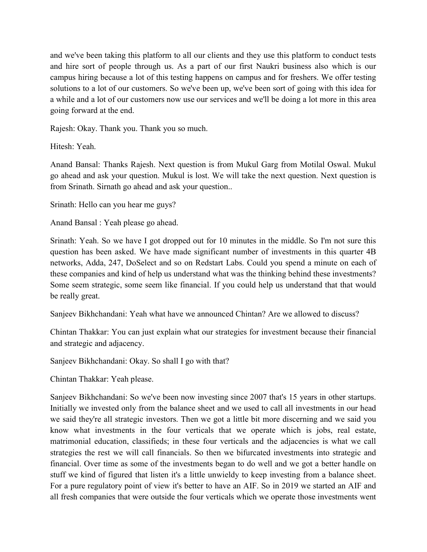and we've been taking this platform to all our clients and they use this platform to conduct tests and hire sort of people through us. As a part of our first Naukri business also which is our campus hiring because a lot of this testing happens on campus and for freshers. We offer testing solutions to a lot of our customers. So we've been up, we've been sort of going with this idea for a while and a lot of our customers now use our services and we'll be doing a lot more in this area going forward at the end.

Rajesh: Okay. Thank you. Thank you so much.

Hitesh: Yeah.

Anand Bansal: Thanks Rajesh. Next question is from Mukul Garg from Motilal Oswal. Mukul go ahead and ask your question. Mukul is lost. We will take the next question. Next question is from Srinath. Sirnath go ahead and ask your question..

Srinath: Hello can you hear me guys?

Anand Bansal : Yeah please go ahead.

Srinath: Yeah. So we have I got dropped out for 10 minutes in the middle. So I'm not sure this question has been asked. We have made significant number of investments in this quarter 4B networks, Adda, 247, DoSelect and so on Redstart Labs. Could you spend a minute on each of these companies and kind of help us understand what was the thinking behind these investments? Some seem strategic, some seem like financial. If you could help us understand that that would be really great.

Sanjeev Bikhchandani: Yeah what have we announced Chintan? Are we allowed to discuss?

Chintan Thakkar: You can just explain what our strategies for investment because their financial and strategic and adjacency.

Sanjeev Bikhchandani: Okay. So shall I go with that?

Chintan Thakkar: Yeah please.

Sanjeev Bikhchandani: So we've been now investing since 2007 that's 15 years in other startups. Initially we invested only from the balance sheet and we used to call all investments in our head we said they're all strategic investors. Then we got a little bit more discerning and we said you know what investments in the four verticals that we operate which is jobs, real estate, matrimonial education, classifieds; in these four verticals and the adjacencies is what we call strategies the rest we will call financials. So then we bifurcated investments into strategic and financial. Over time as some of the investments began to do well and we got a better handle on stuff we kind of figured that listen it's a little unwieldy to keep investing from a balance sheet. For a pure regulatory point of view it's better to have an AIF. So in 2019 we started an AIF and all fresh companies that were outside the four verticals which we operate those investments went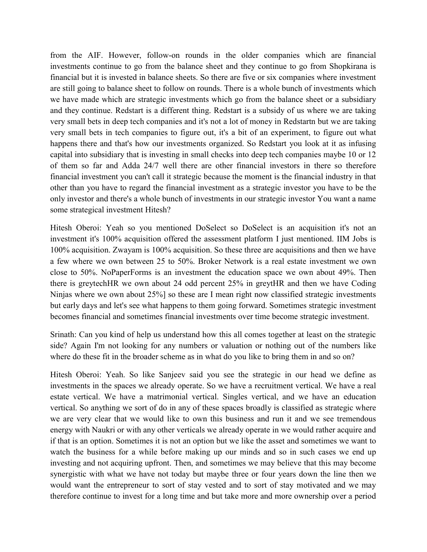from the AIF. However, follow-on rounds in the older companies which are financial investments continue to go from the balance sheet and they continue to go from Shopkirana is financial but it is invested in balance sheets. So there are five or six companies where investment are still going to balance sheet to follow on rounds. There is a whole bunch of investments which we have made which are strategic investments which go from the balance sheet or a subsidiary and they continue. Redstart is a different thing. Redstart is a subsidy of us where we are taking very small bets in deep tech companies and it's not a lot of money in Redstartn but we are taking very small bets in tech companies to figure out, it's a bit of an experiment, to figure out what happens there and that's how our investments organized. So Redstart you look at it as infusing capital into subsidiary that is investing in small checks into deep tech companies maybe 10 or 12 of them so far and Adda 24/7 well there are other financial investors in there so therefore financial investment you can't call it strategic because the moment is the financial industry in that other than you have to regard the financial investment as a strategic investor you have to be the only investor and there's a whole bunch of investments in our strategic investor You want a name some strategical investment Hitesh?

Hitesh Oberoi: Yeah so you mentioned DoSelect so DoSelect is an acquisition it's not an investment it's 100% acquisition offered the assessment platform I just mentioned. IIM Jobs is 100% acquisition. Zwayam is 100% acquisition. So these three are acquisitions and then we have a few where we own between 25 to 50%. Broker Network is a real estate investment we own close to 50%. NoPaperForms is an investment the education space we own about 49%. Then there is greytechHR we own about 24 odd percent 25% in greytHR and then we have Coding Ninjas where we own about 25%] so these are I mean right now classified strategic investments but early days and let's see what happens to them going forward. Sometimes strategic investment becomes financial and sometimes financial investments over time become strategic investment.

Srinath: Can you kind of help us understand how this all comes together at least on the strategic side? Again I'm not looking for any numbers or valuation or nothing out of the numbers like where do these fit in the broader scheme as in what do you like to bring them in and so on?

Hitesh Oberoi: Yeah. So like Sanjeev said you see the strategic in our head we define as investments in the spaces we already operate. So we have a recruitment vertical. We have a real estate vertical. We have a matrimonial vertical. Singles vertical, and we have an education vertical. So anything we sort of do in any of these spaces broadly is classified as strategic where we are very clear that we would like to own this business and run it and we see tremendous energy with Naukri or with any other verticals we already operate in we would rather acquire and if that is an option. Sometimes it is not an option but we like the asset and sometimes we want to watch the business for a while before making up our minds and so in such cases we end up investing and not acquiring upfront. Then, and sometimes we may believe that this may become synergistic with what we have not today but maybe three or four years down the line then we would want the entrepreneur to sort of stay vested and to sort of stay motivated and we may therefore continue to invest for a long time and but take more and more ownership over a period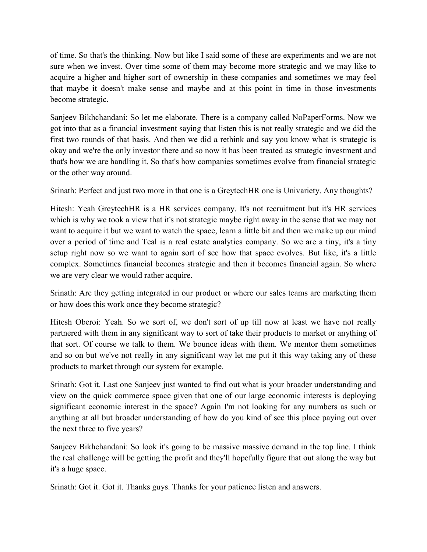of time. So that's the thinking. Now but like I said some of these are experiments and we are not sure when we invest. Over time some of them may become more strategic and we may like to acquire a higher and higher sort of ownership in these companies and sometimes we may feel that maybe it doesn't make sense and maybe and at this point in time in those investments become strategic.

Sanjeev Bikhchandani: So let me elaborate. There is a company called NoPaperForms. Now we got into that as a financial investment saying that listen this is not really strategic and we did the first two rounds of that basis. And then we did a rethink and say you know what is strategic is okay and we're the only investor there and so now it has been treated as strategic investment and that's how we are handling it. So that's how companies sometimes evolve from financial strategic or the other way around.

Srinath: Perfect and just two more in that one is a GreytechHR one is Univariety. Any thoughts?

Hitesh: Yeah GreytechHR is a HR services company. It's not recruitment but it's HR services which is why we took a view that it's not strategic maybe right away in the sense that we may not want to acquire it but we want to watch the space, learn a little bit and then we make up our mind over a period of time and Teal is a real estate analytics company. So we are a tiny, it's a tiny setup right now so we want to again sort of see how that space evolves. But like, it's a little complex. Sometimes financial becomes strategic and then it becomes financial again. So where we are very clear we would rather acquire.

Srinath: Are they getting integrated in our product or where our sales teams are marketing them or how does this work once they become strategic?

Hitesh Oberoi: Yeah. So we sort of, we don't sort of up till now at least we have not really partnered with them in any significant way to sort of take their products to market or anything of that sort. Of course we talk to them. We bounce ideas with them. We mentor them sometimes and so on but we've not really in any significant way let me put it this way taking any of these products to market through our system for example.

Srinath: Got it. Last one Sanjeev just wanted to find out what is your broader understanding and view on the quick commerce space given that one of our large economic interests is deploying significant economic interest in the space? Again I'm not looking for any numbers as such or anything at all but broader understanding of how do you kind of see this place paying out over the next three to five years?

Sanjeev Bikhchandani: So look it's going to be massive massive demand in the top line. I think the real challenge will be getting the profit and they'll hopefully figure that out along the way but it's a huge space.

Srinath: Got it. Got it. Thanks guys. Thanks for your patience listen and answers.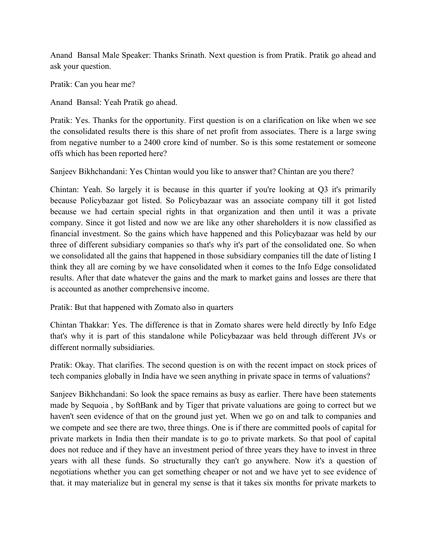Anand Bansal Male Speaker: Thanks Srinath. Next question is from Pratik. Pratik go ahead and ask your question.

Pratik: Can you hear me?

Anand Bansal: Yeah Pratik go ahead.

Pratik: Yes. Thanks for the opportunity. First question is on a clarification on like when we see the consolidated results there is this share of net profit from associates. There is a large swing from negative number to a 2400 crore kind of number. So is this some restatement or someone offs which has been reported here?

Sanjeev Bikhchandani: Yes Chintan would you like to answer that? Chintan are you there?

Chintan: Yeah. So largely it is because in this quarter if you're looking at Q3 it's primarily because Policybazaar got listed. So Policybazaar was an associate company till it got listed because we had certain special rights in that organization and then until it was a private company. Since it got listed and now we are like any other shareholders it is now classified as financial investment. So the gains which have happened and this Policybazaar was held by our three of different subsidiary companies so that's why it's part of the consolidated one. So when we consolidated all the gains that happened in those subsidiary companies till the date of listing I think they all are coming by we have consolidated when it comes to the Info Edge consolidated results. After that date whatever the gains and the mark to market gains and losses are there that is accounted as another comprehensive income.

Pratik: But that happened with Zomato also in quarters

Chintan Thakkar: Yes. The difference is that in Zomato shares were held directly by Info Edge that's why it is part of this standalone while Policybazaar was held through different JVs or different normally subsidiaries.

Pratik: Okay. That clarifies. The second question is on with the recent impact on stock prices of tech companies globally in India have we seen anything in private space in terms of valuations?

Sanjeev Bikhchandani: So look the space remains as busy as earlier. There have been statements made by Sequoia , by SoftBank and by Tiger that private valuations are going to correct but we haven't seen evidence of that on the ground just yet. When we go on and talk to companies and we compete and see there are two, three things. One is if there are committed pools of capital for private markets in India then their mandate is to go to private markets. So that pool of capital does not reduce and if they have an investment period of three years they have to invest in three years with all these funds. So structurally they can't go anywhere. Now it's a question of negotiations whether you can get something cheaper or not and we have yet to see evidence of that. it may materialize but in general my sense is that it takes six months for private markets to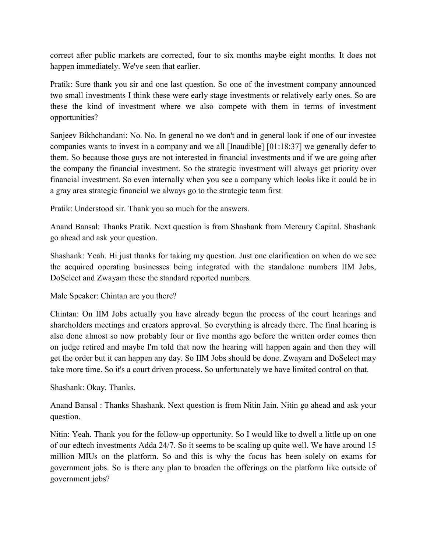correct after public markets are corrected, four to six months maybe eight months. It does not happen immediately. We've seen that earlier.

Pratik: Sure thank you sir and one last question. So one of the investment company announced two small investments I think these were early stage investments or relatively early ones. So are these the kind of investment where we also compete with them in terms of investment opportunities?

Sanjeev Bikhchandani: No. No. In general no we don't and in general look if one of our investee companies wants to invest in a company and we all [Inaudible] [01:18:37] we generally defer to them. So because those guys are not interested in financial investments and if we are going after the company the financial investment. So the strategic investment will always get priority over financial investment. So even internally when you see a company which looks like it could be in a gray area strategic financial we always go to the strategic team first

Pratik: Understood sir. Thank you so much for the answers.

Anand Bansal: Thanks Pratik. Next question is from Shashank from Mercury Capital. Shashank go ahead and ask your question.

Shashank: Yeah. Hi just thanks for taking my question. Just one clarification on when do we see the acquired operating businesses being integrated with the standalone numbers IIM Jobs, DoSelect and Zwayam these the standard reported numbers.

Male Speaker: Chintan are you there?

Chintan: On IIM Jobs actually you have already begun the process of the court hearings and shareholders meetings and creators approval. So everything is already there. The final hearing is also done almost so now probably four or five months ago before the written order comes then on judge retired and maybe I'm told that now the hearing will happen again and then they will get the order but it can happen any day. So IIM Jobs should be done. Zwayam and DoSelect may take more time. So it's a court driven process. So unfortunately we have limited control on that.

Shashank: Okay. Thanks.

Anand Bansal : Thanks Shashank. Next question is from Nitin Jain. Nitin go ahead and ask your question.

Nitin: Yeah. Thank you for the follow-up opportunity. So I would like to dwell a little up on one of our edtech investments Adda 24/7. So it seems to be scaling up quite well. We have around 15 million MIUs on the platform. So and this is why the focus has been solely on exams for government jobs. So is there any plan to broaden the offerings on the platform like outside of government jobs?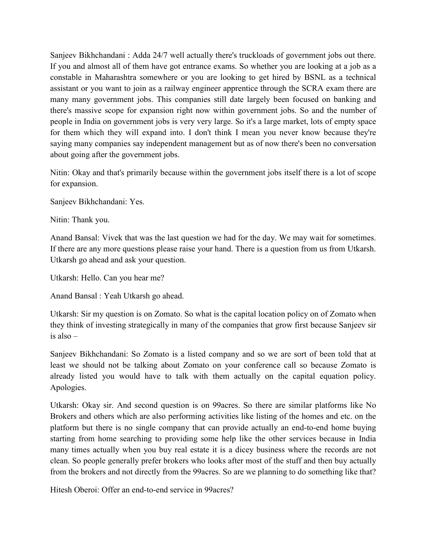Sanjeev Bikhchandani : Adda 24/7 well actually there's truckloads of government jobs out there. If you and almost all of them have got entrance exams. So whether you are looking at a job as a constable in Maharashtra somewhere or you are looking to get hired by BSNL as a technical assistant or you want to join as a railway engineer apprentice through the SCRA exam there are many many government jobs. This companies still date largely been focused on banking and there's massive scope for expansion right now within government jobs. So and the number of people in India on government jobs is very very large. So it's a large market, lots of empty space for them which they will expand into. I don't think I mean you never know because they're saying many companies say independent management but as of now there's been no conversation about going after the government jobs.

Nitin: Okay and that's primarily because within the government jobs itself there is a lot of scope for expansion.

Sanjeev Bikhchandani: Yes.

Nitin: Thank you.

Anand Bansal: Vivek that was the last question we had for the day. We may wait for sometimes. If there are any more questions please raise your hand. There is a question from us from Utkarsh. Utkarsh go ahead and ask your question.

Utkarsh: Hello. Can you hear me?

Anand Bansal : Yeah Utkarsh go ahead.

Utkarsh: Sir my question is on Zomato. So what is the capital location policy on of Zomato when they think of investing strategically in many of the companies that grow first because Sanjeev sir is also –

Sanjeev Bikhchandani: So Zomato is a listed company and so we are sort of been told that at least we should not be talking about Zomato on your conference call so because Zomato is already listed you would have to talk with them actually on the capital equation policy. Apologies.

Utkarsh: Okay sir. And second question is on 99acres. So there are similar platforms like No Brokers and others which are also performing activities like listing of the homes and etc. on the platform but there is no single company that can provide actually an end-to-end home buying starting from home searching to providing some help like the other services because in India many times actually when you buy real estate it is a dicey business where the records are not clean. So people generally prefer brokers who looks after most of the stuff and then buy actually from the brokers and not directly from the 99acres. So are we planning to do something like that?

Hitesh Oberoi: Offer an end-to-end service in 99acres?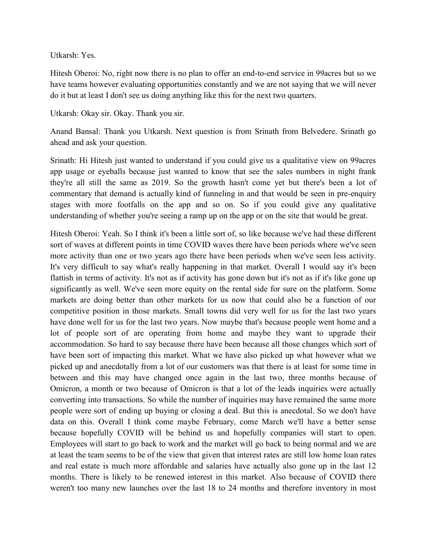Utkarsh: Yes.

Hitesh Oberoi: No, right now there is no plan to offer an end-to-end service in 99acres but so we have teams however evaluating opportunities constantly and we are not saying that we will never do it but at least I don't see us doing anything like this for the next two quarters.

Utkarsh: Okay sir. Okay. Thank you sir.

Anand Bansal: Thank you Utkarsh. Next question is from Srinath from Belvedere. Srinath go ahead and ask your question.

Srinath: Hi Hitesh just wanted to understand if you could give us a qualitative view on 99acres app usage or eyeballs because just wanted to know that see the sales numbers in night frank they're all still the same as 2019. So the growth hasn't come yet but there's been a lot of commentary that demand is actually kind of funneling in and that would be seen in pre-enquiry stages with more footfalls on the app and so on. So if you could give any qualitative understanding of whether you're seeing a ramp up on the app or on the site that would be great.

Hitesh Oberoi: Yeah. So I think it's been a little sort of, so like because we've had these different sort of waves at different points in time COVID waves there have been periods where we've seen more activity than one or two years ago there have been periods when we've seen less activity. It's very difficult to say what's really happening in that market. Overall I would say it's been flattish in terms of activity. It's not as if activity has gone down but it's not as if it's like gone up significantly as well. We've seen more equity on the rental side for sure on the platform. Some markets are doing better than other markets for us now that could also be a function of our competitive position in those markets. Small towns did very well for us for the last two years have done well for us for the last two years. Now maybe that's because people went home and a lot of people sort of are operating from home and maybe they want to upgrade their accommodation. So hard to say because there have been because all those changes which sort of have been sort of impacting this market. What we have also picked up what however what we picked up and anecdotally from a lot of our customers was that there is at least for some time in between and this may have changed once again in the last two, three months because of Omicron, a month or two because of Omicron is that a lot of the leads inquiries were actually converting into transactions. So while the number of inquiries may have remained the same more people were sort of ending up buying or closing a deal. But this is anecdotal. So we don't have data on this. Overall I think come maybe February, come March we'll have a better sense because hopefully COVID will be behind us and hopefully companies will start to open. Employees will start to go back to work and the market will go back to being normal and we are at least the team seems to be of the view that given that interest rates are still low home loan rates and real estate is much more affordable and salaries have actually also gone up in the last 12 months. There is likely to be renewed interest in this market. Also because of COVID there weren't too many new launches over the last 18 to 24 months and therefore inventory in most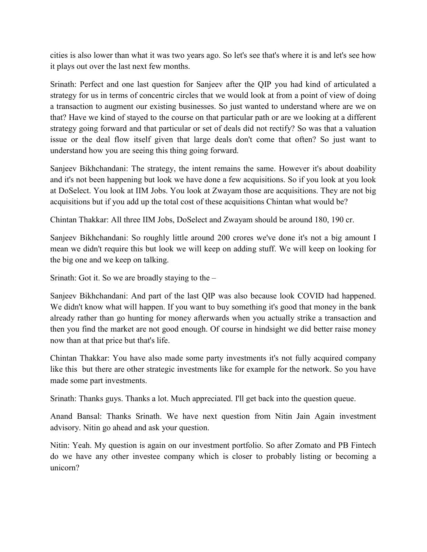cities is also lower than what it was two years ago. So let's see that's where it is and let's see how it plays out over the last next few months.

Srinath: Perfect and one last question for Sanjeev after the QIP you had kind of articulated a strategy for us in terms of concentric circles that we would look at from a point of view of doing a transaction to augment our existing businesses. So just wanted to understand where are we on that? Have we kind of stayed to the course on that particular path or are we looking at a different strategy going forward and that particular or set of deals did not rectify? So was that a valuation issue or the deal flow itself given that large deals don't come that often? So just want to understand how you are seeing this thing going forward.

Sanjeev Bikhchandani: The strategy, the intent remains the same. However it's about doability and it's not been happening but look we have done a few acquisitions. So if you look at you look at DoSelect. You look at IIM Jobs. You look at Zwayam those are acquisitions. They are not big acquisitions but if you add up the total cost of these acquisitions Chintan what would be?

Chintan Thakkar: All three IIM Jobs, DoSelect and Zwayam should be around 180, 190 cr.

Sanjeev Bikhchandani: So roughly little around 200 crores we've done it's not a big amount I mean we didn't require this but look we will keep on adding stuff. We will keep on looking for the big one and we keep on talking.

Srinath: Got it. So we are broadly staying to the –

Sanjeev Bikhchandani: And part of the last QIP was also because look COVID had happened. We didn't know what will happen. If you want to buy something it's good that money in the bank already rather than go hunting for money afterwards when you actually strike a transaction and then you find the market are not good enough. Of course in hindsight we did better raise money now than at that price but that's life.

Chintan Thakkar: You have also made some party investments it's not fully acquired company like this but there are other strategic investments like for example for the network. So you have made some part investments.

Srinath: Thanks guys. Thanks a lot. Much appreciated. I'll get back into the question queue.

Anand Bansal: Thanks Srinath. We have next question from Nitin Jain Again investment advisory. Nitin go ahead and ask your question.

Nitin: Yeah. My question is again on our investment portfolio. So after Zomato and PB Fintech do we have any other investee company which is closer to probably listing or becoming a unicorn?